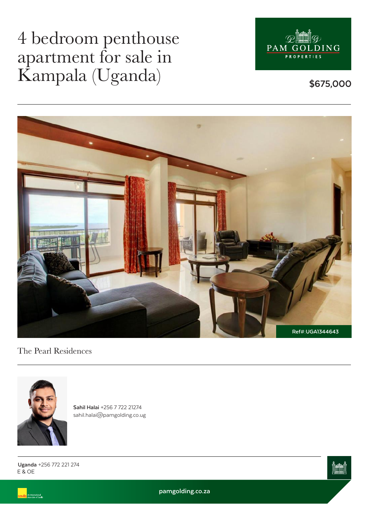## 4 bedroom penthouse apartment for sale in Kampala (Uganda)



**\$675,000**



The Pearl Residences



**Sahil Halai** +256 7 722 21274 sahil.halai@pamgolding.co.ug

E & OE **Uganda** +256 772 221 274

.<br>An International<br>Associate of Savill



**pamgolding.co.za**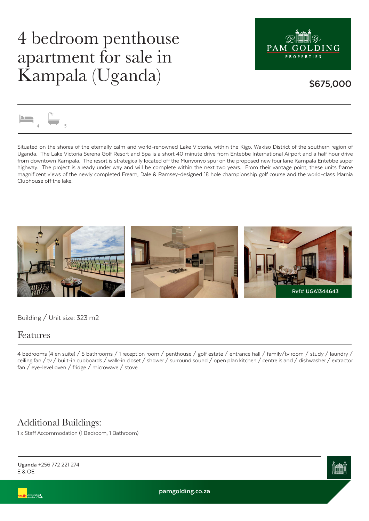## 4 bedroom penthouse apartment for sale in Kampala (Uganda)



### **\$675,000**



Situated on the shores of the eternally calm and world-renowned Lake Victoria, within the Kigo, Wakiso District of the southern region of Uganda. The Lake Victoria Serena Golf Resort and Spa is a short 40 minute drive from Entebbe International Airport and a half hour drive from downtown Kampala. The resort is strategically located off the Munyonyo spur on the proposed new four lane Kampala Entebbe super highway. The project is already under way and will be complete within the next two years. From their vantage point, these units frame magnificent views of the newly completed Fream, Dale & Ramsey-designed 18 hole championship golf course and the world-class Marnia Clubhouse off the lake.



Building / Unit size: 323 m2

#### Features

4 bedrooms (4 en suite) / 5 bathrooms / 1 reception room / penthouse / golf estate / entrance hall / family/tv room / study / laundry / ceiling fan / tv / built-in cupboards / walk-in closet / shower / surround sound / open plan kitchen / centre island / dishwasher / extractor fan / eye-level oven / fridge / microwave / stove

### Additional Buildings:

1 x Staff Accommodation (1 Bedroom, 1 Bathroom)



E & OE **Uganda** +256 772 221 274

**pamgolding.co.za**